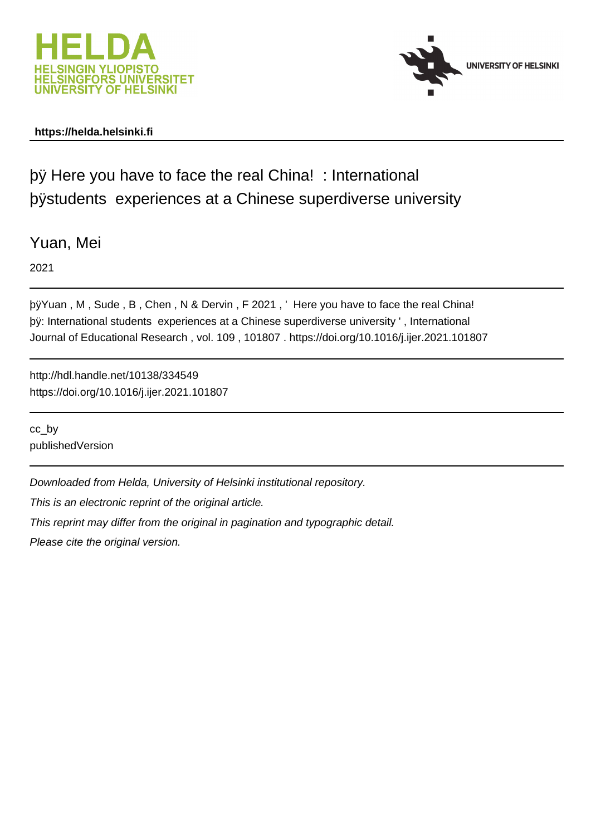

# **https://helda.helsinki.fi**



by Here you have to face the real China! : International bystudents experiences at a Chinese superdivers

Yuan, Mei

2021

þÿYuan, M, Sude, B, Chen, N & Dervin, F 2021, 'Here you have to by: International students experiences at a Chinese superdiverse univer Journal of Educational Research , vol. 109 , 101807 . https://doi.org/10.1016/j.ijer.2021.101807

http://hdl.handle.net/10138/334549 https://doi.org/10.1016/j.ijer.2021.101807

cc\_by publishedVersion

Downloaded from Helda, University of Helsinki institutional repository.

This is an electronic reprint of the original article.

This reprint may differ from the original in pagination and typographic detail.

Please cite the original version.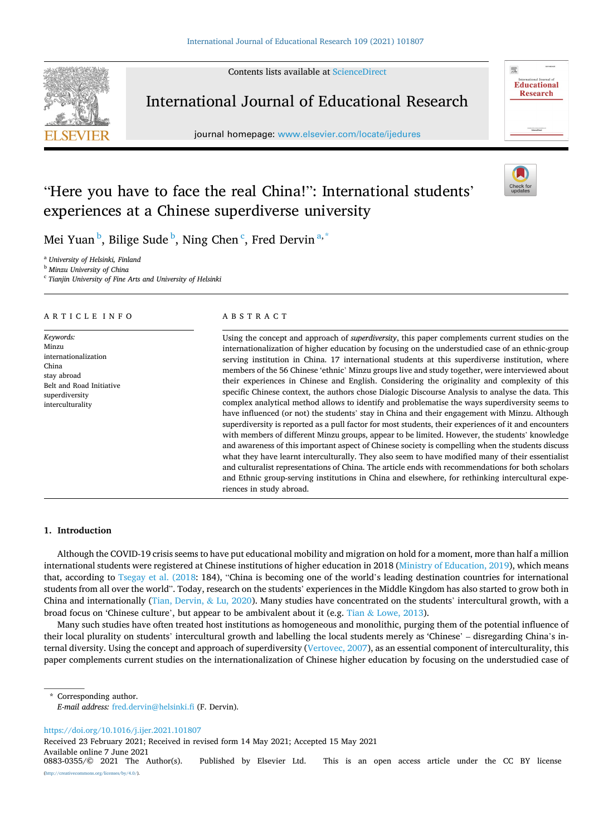Contents lists available at [ScienceDirect](www.sciencedirect.com/science/journal/08830355)



# International Journal of Educational Research

journal homepage: [www.elsevier.com/locate/ijedures](https://www.elsevier.com/locate/ijedures) 

履

**Educational Research** 

# "Here you have to face the real China!": International students' experiences at a Chinese superdiverse university



Mei Yuan  $^{\rm b}$ , Bilige Sude  $^{\rm b}$ , Ning Chen  $^{\rm c}$ , Fred Dervin  $^{\rm a,*}$ 

<sup>a</sup> *University of Helsinki, Finland* 

<sup>b</sup> *Minzu University of China* 

<sup>c</sup> *Tianjin University of Fine Arts and University of Helsinki* 

# ARTICLE INFO

*Keywords:*  Minzu internationalization China stay abroad Belt and Road Initiative superdiversity interculturality

# ABSTRACT

Using the concept and approach of *superdiversity*, this paper complements current studies on the internationalization of higher education by focusing on the understudied case of an ethnic-group serving institution in China. 17 international students at this superdiverse institution, where members of the 56 Chinese 'ethnic' Minzu groups live and study together, were interviewed about their experiences in Chinese and English. Considering the originality and complexity of this specific Chinese context, the authors chose Dialogic Discourse Analysis to analyse the data. This complex analytical method allows to identify and problematise the ways superdiversity seems to have influenced (or not) the students' stay in China and their engagement with Minzu. Although superdiversity is reported as a pull factor for most students, their experiences of it and encounters with members of different Minzu groups, appear to be limited. However, the students' knowledge and awareness of this important aspect of Chinese society is compelling when the students discuss what they have learnt interculturally. They also seem to have modified many of their essentialist and culturalist representations of China. The article ends with recommendations for both scholars and Ethnic group-serving institutions in China and elsewhere, for rethinking intercultural experiences in study abroad.

# **1. Introduction**

Although the COVID-19 crisis seems to have put educational mobility and migration on hold for a moment, more than half a million international students were registered at Chinese institutions of higher education in 2018 (Ministry of Education, 2019), which means that, according to Tsegay et al. (2018: 184), "China is becoming one of the world's leading destination countries for international students from all over the world". Today, research on the students' experiences in the Middle Kingdom has also started to grow both in China and internationally (Tian, Dervin, & Lu, 2020). Many studies have concentrated on the students' intercultural growth, with a broad focus on 'Chinese culture', but appear to be ambivalent about it (e.g. Tian & Lowe, 2013).

Many such studies have often treated host institutions as homogeneous and monolithic, purging them of the potential influence of their local plurality on students' intercultural growth and labelling the local students merely as 'Chinese' – disregarding China's internal diversity. Using the concept and approach of superdiversity (Vertovec, 2007), as an essential component of interculturality, this paper complements current studies on the internationalization of Chinese higher education by focusing on the understudied case of

Corresponding author.

*E-mail address:* [fred.dervin@helsinki.fi](mailto:fred.dervin@helsinki.fi) (F. Dervin).

<https://doi.org/10.1016/j.ijer.2021.101807>

Received 23 February 2021; Received in revised form 14 May 2021; Accepted 15 May 2021

Available online 7 June 2021<br>0883-0355/© 2021 The Author(s).

Published by Elsevier Ltd. This is an open access article under the CC BY license [\(http://creativecommons.org/licenses/by/4.0/\)](http://creativecommons.org/licenses/by/4.0/).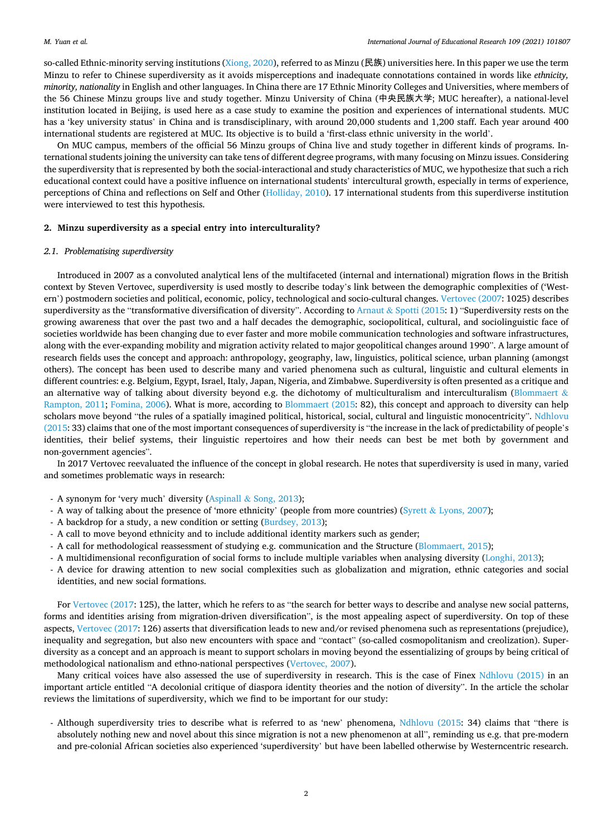so-called Ethnic-minority serving institutions ( $X$ iong,  $2020$ ), referred to as Minzu (民族) universities here. In this paper we use the term Minzu to refer to Chinese superdiversity as it avoids misperceptions and inadequate connotations contained in words like *ethnicity, minority, nationality* in English and other languages. In China there are 17 Ethnic Minority Colleges and Universities, where members of the 56 Chinese Minzu groups live and study together. Minzu University of China (中央民族大学; MUC hereafter), a national-level institution located in Beijing, is used here as a case study to examine the position and experiences of international students. MUC has a 'key university status' in China and is transdisciplinary, with around 20,000 students and 1,200 staff. Each year around 400 international students are registered at MUC. Its objective is to build a 'first-class ethnic university in the world'.

On MUC campus, members of the official 56 Minzu groups of China live and study together in different kinds of programs. International students joining the university can take tens of different degree programs, with many focusing on Minzu issues. Considering the superdiversity that is represented by both the social-interactional and study characteristics of MUC, we hypothesize that such a rich educational context could have a positive influence on international students' intercultural growth, especially in terms of experience, perceptions of China and reflections on Self and Other (Holliday, 2010). 17 international students from this superdiverse institution were interviewed to test this hypothesis.

# **2. Minzu superdiversity as a special entry into interculturality?**

# *2.1. Problematising superdiversity*

Introduced in 2007 as a convoluted analytical lens of the multifaceted (internal and international) migration flows in the British context by Steven Vertovec, superdiversity is used mostly to describe today's link between the demographic complexities of ('Western') postmodern societies and political, economic, policy, technological and socio-cultural changes. Vertovec (2007: 1025) describes superdiversity as the "transformative diversification of diversity". According to Arnaut & Spotti (2015: 1) "Superdiversity rests on the growing awareness that over the past two and a half decades the demographic, sociopolitical, cultural, and sociolinguistic face of societies worldwide has been changing due to ever faster and more mobile communication technologies and software infrastructures, along with the ever-expanding mobility and migration activity related to major geopolitical changes around 1990". A large amount of research fields uses the concept and approach: anthropology, geography, law, linguistics, political science, urban planning (amongst others). The concept has been used to describe many and varied phenomena such as cultural, linguistic and cultural elements in different countries: e.g. Belgium, Egypt, Israel, Italy, Japan, Nigeria, and Zimbabwe. Superdiversity is often presented as a critique and an alternative way of talking about diversity beyond e.g. the dichotomy of multiculturalism and interculturalism (Blommaert  $\&$ Rampton, 2011; Fomina, 2006). What is more, according to Blommaert (2015: 82), this concept and approach to diversity can help scholars move beyond "the rules of a spatially imagined political, historical, social, cultural and linguistic monocentricity". Ndhlovu (2015: 33) claims that one of the most important consequences of superdiversity is "the increase in the lack of predictability of people's identities, their belief systems, their linguistic repertoires and how their needs can best be met both by government and non-government agencies".

In 2017 Vertovec reevaluated the influence of the concept in global research. He notes that superdiversity is used in many, varied and sometimes problematic ways in research:

- A synonym for 'very much' diversity (Aspinall & Song, 2013);
- A way of talking about the presence of 'more ethnicity' (people from more countries) (Syrett & Lyons, 2007);
- A backdrop for a study, a new condition or setting (Burdsey, 2013);
- A call to move beyond ethnicity and to include additional identity markers such as gender;
- A call for methodological reassessment of studying e.g. communication and the Structure (Blommaert, 2015);
- A multidimensional reconfiguration of social forms to include multiple variables when analysing diversity (Longhi, 2013);
- A device for drawing attention to new social complexities such as globalization and migration, ethnic categories and social identities, and new social formations.

For Vertovec (2017: 125), the latter, which he refers to as "the search for better ways to describe and analyse new social patterns, forms and identities arising from migration-driven diversification", is the most appealing aspect of superdiversity. On top of these aspects, Vertovec (2017: 126) asserts that diversification leads to new and/or revised phenomena such as representations (prejudice), inequality and segregation, but also new encounters with space and "contact" (so-called cosmopolitanism and creolization). Superdiversity as a concept and an approach is meant to support scholars in moving beyond the essentializing of groups by being critical of methodological nationalism and ethno-national perspectives (Vertovec, 2007).

Many critical voices have also assessed the use of superdiversity in research. This is the case of Finex Ndhlovu (2015) in an important article entitled "A decolonial critique of diaspora identity theories and the notion of diversity". In the article the scholar reviews the limitations of superdiversity, which we find to be important for our study:

- Although superdiversity tries to describe what is referred to as 'new' phenomena, Ndhlovu (2015: 34) claims that "there is absolutely nothing new and novel about this since migration is not a new phenomenon at all", reminding us e.g. that pre-modern and pre-colonial African societies also experienced 'superdiversity' but have been labelled otherwise by Westerncentric research.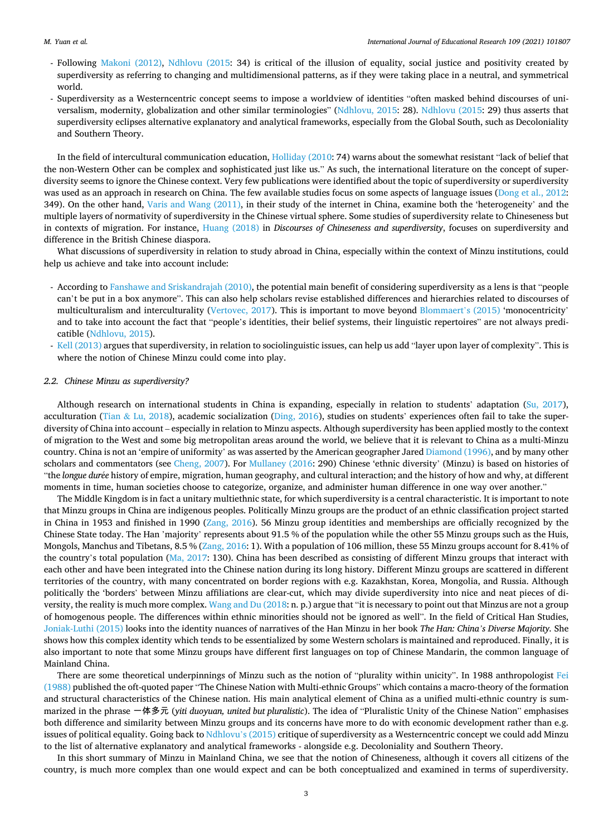#### *M. Yuan et al.*

- Following Makoni (2012), Ndhlovu (2015: 34) is critical of the illusion of equality, social justice and positivity created by superdiversity as referring to changing and multidimensional patterns, as if they were taking place in a neutral, and symmetrical world.
- Superdiversity as a Westerncentric concept seems to impose a worldview of identities "often masked behind discourses of universalism, modernity, globalization and other similar terminologies" (Ndhlovu, 2015: 28). Ndhlovu (2015: 29) thus asserts that superdiversity eclipses alternative explanatory and analytical frameworks, especially from the Global South, such as Decoloniality and Southern Theory.

In the field of intercultural communication education, Holliday (2010: 74) warns about the somewhat resistant "lack of belief that the non-Western Other can be complex and sophisticated just like us." As such, the international literature on the concept of superdiversity seems to ignore the Chinese context. Very few publications were identified about the topic of superdiversity or superdiversity was used as an approach in research on China. The few available studies focus on some aspects of language issues (Dong et al., 2012: 349). On the other hand, Varis and Wang (2011), in their study of the internet in China, examine both the 'heterogeneity' and the multiple layers of normativity of superdiversity in the Chinese virtual sphere. Some studies of superdiversity relate to Chineseness but in contexts of migration. For instance, Huang (2018) in *Discourses of Chineseness and superdiversity*, focuses on superdiversity and difference in the British Chinese diaspora.

What discussions of superdiversity in relation to study abroad in China, especially within the context of Minzu institutions, could help us achieve and take into account include:

- According to Fanshawe and Sriskandrajah (2010), the potential main benefit of considering superdiversity as a lens is that "people can't be put in a box anymore". This can also help scholars revise established differences and hierarchies related to discourses of multiculturalism and interculturality (Vertovec, 2017). This is important to move beyond Blommaert's (2015) 'monocentricity' and to take into account the fact that "people's identities, their belief systems, their linguistic repertoires" are not always predicatible (Ndhlovu, 2015).
- Kell (2013) argues that superdiversity, in relation to sociolinguistic issues, can help us add "layer upon layer of complexity". This is where the notion of Chinese Minzu could come into play.

#### *2.2. Chinese Minzu as superdiversity?*

Although research on international students in China is expanding, especially in relation to students' adaptation (Su, 2017), acculturation (Tian & Lu, 2018), academic socialization (Ding, 2016), studies on students' experiences often fail to take the superdiversity of China into account – especially in relation to Minzu aspects. Although superdiversity has been applied mostly to the context of migration to the West and some big metropolitan areas around the world, we believe that it is relevant to China as a multi-Minzu country. China is not an 'empire of uniformity' as was asserted by the American geographer Jared Diamond (1996), and by many other scholars and commentators (see Cheng, 2007). For Mullaney (2016: 290) Chinese 'ethnic diversity' (Minzu) is based on histories of "the *longue dur*´*ee* history of empire, migration, human geography, and cultural interaction; and the history of how and why, at different moments in time, human societies choose to categorize, organize, and administer human difference in one way over another."

The Middle Kingdom is in fact a unitary multiethnic state, for which superdiversity is a central characteristic. It is important to note that Minzu groups in China are indigenous peoples. Politically Minzu groups are the product of an ethnic classification project started in China in 1953 and finished in 1990 (Zang, 2016). 56 Minzu group identities and memberships are officially recognized by the Chinese State today. The Han 'majority' represents about 91.5 % of the population while the other 55 Minzu groups such as the Huis, Mongols, Manchus and Tibetans, 8.5 % (Zang, 2016: 1). With a population of 106 million, these 55 Minzu groups account for 8.41% of the country's total population (Ma, 2017: 130). China has been described as consisting of different Minzu groups that interact with each other and have been integrated into the Chinese nation during its long history. Different Minzu groups are scattered in different territories of the country, with many concentrated on border regions with e.g. Kazakhstan, Korea, Mongolia, and Russia. Although politically the 'borders' between Minzu affiliations are clear-cut, which may divide superdiversity into nice and neat pieces of diversity, the reality is much more complex. Wang and Du (2018: n. p.) argue that "it is necessary to point out that Minzus are not a group of homogenous people. The differences within ethnic minorities should not be ignored as well". In the field of Critical Han Studies, Joniak-Luthi (2015) looks into the identity nuances of narratives of the Han Minzu in her book *The Han: China's Diverse Majority.* She shows how this complex identity which tends to be essentialized by some Western scholars is maintained and reproduced. Finally, it is also important to note that some Minzu groups have different first languages on top of Chinese Mandarin, the common language of Mainland China.

There are some theoretical underpinnings of Minzu such as the notion of "plurality within unicity". In 1988 anthropologist Fei (1988) published the oft-quoted paper "The Chinese Nation with Multi-ethnic Groups" which contains a macro-theory of the formation and structural characteristics of the Chinese nation. His main analytical element of China as a unified multi-ethnic country is summarized in the phrase 一体多元 (*yiti duoyuan, united but pluralistic*). The idea of "Pluralistic Unity of the Chinese Nation" emphasises both difference and similarity between Minzu groups and its concerns have more to do with economic development rather than e.g. issues of political equality. Going back to Ndhlovu's (2015) critique of superdiversity as a Westerncentric concept we could add Minzu to the list of alternative explanatory and analytical frameworks - alongside e.g. Decoloniality and Southern Theory.

In this short summary of Minzu in Mainland China, we see that the notion of Chineseness, although it covers all citizens of the country, is much more complex than one would expect and can be both conceptualized and examined in terms of superdiversity.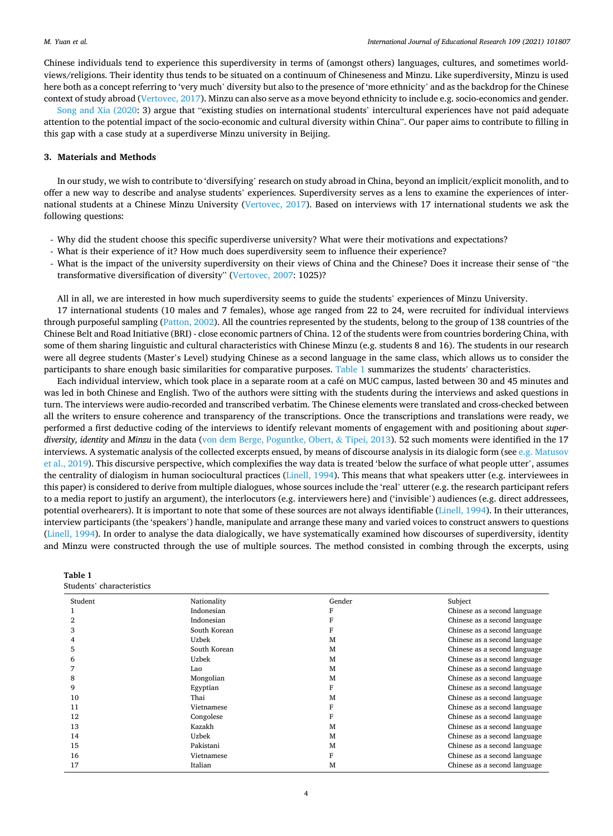Chinese individuals tend to experience this superdiversity in terms of (amongst others) languages, cultures, and sometimes worldviews/religions. Their identity thus tends to be situated on a continuum of Chineseness and Minzu. Like superdiversity, Minzu is used here both as a concept referring to 'very much' diversity but also to the presence of 'more ethnicity' and as the backdrop for the Chinese context of study abroad (Vertovec, 2017). Minzu can also serve as a move beyond ethnicity to include e.g. socio-economics and gender.

Song and Xia (2020: 3) argue that "existing studies on international students' intercultural experiences have not paid adequate attention to the potential impact of the socio-economic and cultural diversity within China". Our paper aims to contribute to filling in this gap with a case study at a superdiverse Minzu university in Beijing.

# **3. Materials and Methods**

In our study, we wish to contribute to 'diversifying' research on study abroad in China, beyond an implicit/explicit monolith, and to offer a new way to describe and analyse students' experiences. Superdiversity serves as a lens to examine the experiences of international students at a Chinese Minzu University (Vertovec, 2017). Based on interviews with 17 international students we ask the following questions:

- Why did the student choose this specific superdiverse university? What were their motivations and expectations?
- What is their experience of it? How much does superdiversity seem to influence their experience?
- What is the impact of the university superdiversity on their views of China and the Chinese? Does it increase their sense of "the transformative diversification of diversity" (Vertovec, 2007: 1025)?

All in all, we are interested in how much superdiversity seems to guide the students' experiences of Minzu University.

17 international students (10 males and 7 females), whose age ranged from 22 to 24, were recruited for individual interviews through purposeful sampling (Patton, 2002). All the countries represented by the students, belong to the group of 138 countries of the Chinese Belt and Road Initiative (BRI) - close economic partners of China. 12 of the students were from countries bordering China, with some of them sharing linguistic and cultural characteristics with Chinese Minzu (e.g. students 8 and 16). The students in our research were all degree students (Master's Level) studying Chinese as a second language in the same class, which allows us to consider the participants to share enough basic similarities for comparative purposes. Table 1 summarizes the students' characteristics.

Each individual interview, which took place in a separate room at a café on MUC campus, lasted between 30 and 45 minutes and was led in both Chinese and English. Two of the authors were sitting with the students during the interviews and asked questions in turn. The interviews were audio-recorded and transcribed verbatim. The Chinese elements were translated and cross-checked between all the writers to ensure coherence and transparency of the transcriptions. Once the transcriptions and translations were ready, we performed a first deductive coding of the interviews to identify relevant moments of engagement with and positioning about *superdiversity, identity* and *Minzu* in the data (von dem Berge, Poguntke, Obert, & Tipei, 2013). 52 such moments were identified in the 17 interviews. A systematic analysis of the collected excerpts ensued, by means of discourse analysis in its dialogic form (see e.g. Matusov et al., 2019). This discursive perspective, which complexifies the way data is treated 'below the surface of what people utter', assumes the centrality of dialogism in human sociocultural practices (Linell, 1994). This means that what speakers utter (e.g. interviewees in this paper) is considered to derive from multiple dialogues, whose sources include the 'real' utterer (e.g. the research participant refers to a media report to justify an argument), the interlocutors (e.g. interviewers here) and ('invisible') audiences (e.g. direct addressees, potential overhearers). It is important to note that some of these sources are not always identifiable (Linell, 1994). In their utterances, interview participants (the 'speakers') handle, manipulate and arrange these many and varied voices to construct answers to questions (Linell, 1994). In order to analyse the data dialogically, we have systematically examined how discourses of superdiversity, identity and Minzu were constructed through the use of multiple sources. The method consisted in combing through the excerpts, using

| Table 1 |                           |
|---------|---------------------------|
|         | Students' characteristics |

| Student | Nationality  | Gender | Subject                      |
|---------|--------------|--------|------------------------------|
|         | Indonesian   |        | Chinese as a second language |
|         | Indonesian   |        | Chinese as a second language |
| 3       | South Korean |        | Chinese as a second language |
|         | Uzbek        | M      | Chinese as a second language |
| 5       | South Korean | M      | Chinese as a second language |
| 6       | <b>Uzbek</b> | M      | Chinese as a second language |
|         | Lao          | M      | Chinese as a second language |
| 8       | Mongolian    | M      | Chinese as a second language |
| 9       | Egyptian     | F      | Chinese as a second language |
| 10      | Thai         | M      | Chinese as a second language |
| 11      | Vietnamese   |        | Chinese as a second language |
| 12      | Congolese    | F      | Chinese as a second language |
| 13      | Kazakh       | M      | Chinese as a second language |
| 14      | Uzbek        | M      | Chinese as a second language |
| 15      | Pakistani    | M      | Chinese as a second language |
| 16      | Vietnamese   | F      | Chinese as a second language |
| 17      | Italian      | M      | Chinese as a second language |
|         |              |        |                              |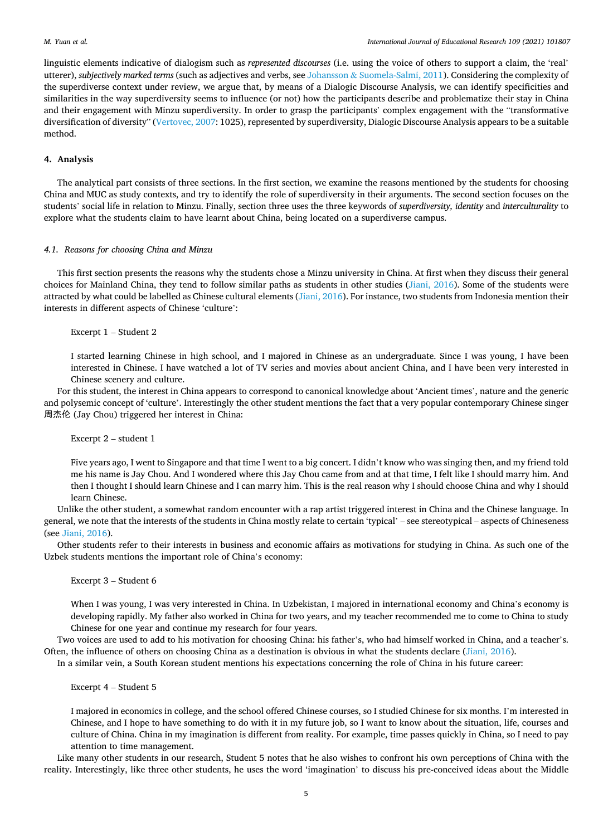linguistic elements indicative of dialogism such as *represented discourses* (i.e. using the voice of others to support a claim, the 'real' utterer), *subjectively marked terms* (such as adjectives and verbs, see Johansson & Suomela-Salmi, 2011). Considering the complexity of the superdiverse context under review, we argue that, by means of a Dialogic Discourse Analysis, we can identify specificities and similarities in the way superdiversity seems to influence (or not) how the participants describe and problematize their stay in China and their engagement with Minzu superdiversity. In order to grasp the participants' complex engagement with the "transformative diversification of diversity" (Vertovec, 2007: 1025), represented by superdiversity, Dialogic Discourse Analysis appears to be a suitable method.

#### **4. Analysis**

The analytical part consists of three sections. In the first section, we examine the reasons mentioned by the students for choosing China and MUC as study contexts, and try to identify the role of superdiversity in their arguments. The second section focuses on the students' social life in relation to Minzu. Finally, section three uses the three keywords of *superdiversity, identity* and *interculturality* to explore what the students claim to have learnt about China, being located on a superdiverse campus.

#### *4.1. Reasons for choosing China and Minzu*

This first section presents the reasons why the students chose a Minzu university in China. At first when they discuss their general choices for Mainland China, they tend to follow similar paths as students in other studies (Jiani, 2016). Some of the students were attracted by what could be labelled as Chinese cultural elements (Jiani, 2016). For instance, two students from Indonesia mention their interests in different aspects of Chinese 'culture':

Excerpt 1 – Student 2

I started learning Chinese in high school, and I majored in Chinese as an undergraduate. Since I was young, I have been interested in Chinese. I have watched a lot of TV series and movies about ancient China, and I have been very interested in Chinese scenery and culture.

For this student, the interest in China appears to correspond to canonical knowledge about 'Ancient times', nature and the generic and polysemic concept of 'culture'. Interestingly the other student mentions the fact that a very popular contemporary Chinese singer 周杰伦 (Jay Chou) triggered her interest in China:

Excerpt 2 – student 1

Five years ago, I went to Singapore and that time I went to a big concert. I didn't know who was singing then, and my friend told me his name is Jay Chou. And I wondered where this Jay Chou came from and at that time, I felt like I should marry him. And then I thought I should learn Chinese and I can marry him. This is the real reason why I should choose China and why I should learn Chinese.

Unlike the other student, a somewhat random encounter with a rap artist triggered interest in China and the Chinese language. In general, we note that the interests of the students in China mostly relate to certain 'typical' – see stereotypical – aspects of Chineseness (see Jiani, 2016).

Other students refer to their interests in business and economic affairs as motivations for studying in China. As such one of the Uzbek students mentions the important role of China's economy:

Excerpt 3 – Student 6

When I was young, I was very interested in China. In Uzbekistan, I majored in international economy and China's economy is developing rapidly. My father also worked in China for two years, and my teacher recommended me to come to China to study Chinese for one year and continue my research for four years.

Two voices are used to add to his motivation for choosing China: his father's, who had himself worked in China, and a teacher's. Often, the influence of others on choosing China as a destination is obvious in what the students declare (Jiani, 2016).

In a similar vein, a South Korean student mentions his expectations concerning the role of China in his future career:

Excerpt 4 – Student 5

I majored in economics in college, and the school offered Chinese courses, so I studied Chinese for six months. I'm interested in Chinese, and I hope to have something to do with it in my future job, so I want to know about the situation, life, courses and culture of China. China in my imagination is different from reality. For example, time passes quickly in China, so I need to pay attention to time management.

Like many other students in our research, Student 5 notes that he also wishes to confront his own perceptions of China with the reality. Interestingly, like three other students, he uses the word 'imagination' to discuss his pre-conceived ideas about the Middle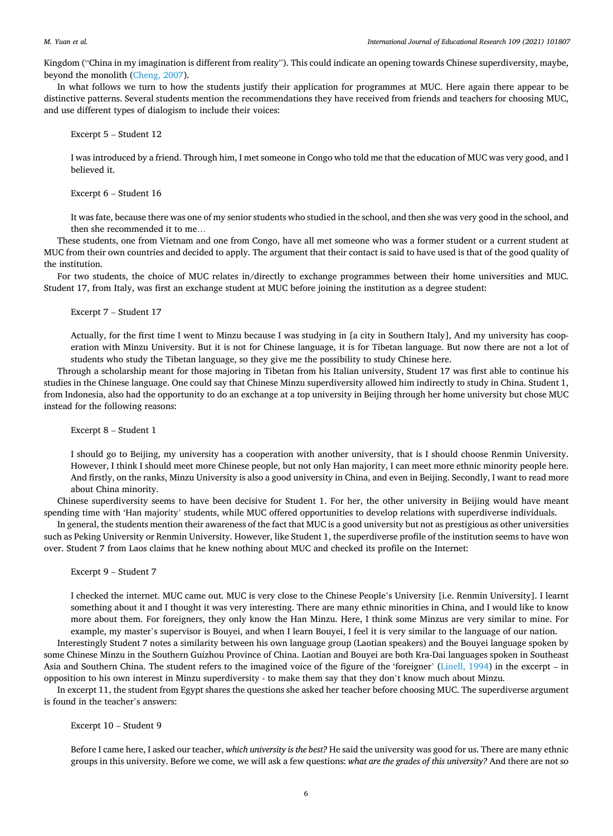Kingdom ("China in my imagination is different from reality"). This could indicate an opening towards Chinese superdiversity, maybe, beyond the monolith (Cheng, 2007).

In what follows we turn to how the students justify their application for programmes at MUC. Here again there appear to be distinctive patterns. Several students mention the recommendations they have received from friends and teachers for choosing MUC, and use different types of dialogism to include their voices:

Excerpt 5 – Student 12

I was introduced by a friend. Through him, I met someone in Congo who told me that the education of MUC was very good, and I believed it.

Excerpt 6 – Student 16

It was fate, because there was one of my senior students who studied in the school, and then she was very good in the school, and then she recommended it to me…

These students, one from Vietnam and one from Congo, have all met someone who was a former student or a current student at MUC from their own countries and decided to apply. The argument that their contact is said to have used is that of the good quality of the institution.

For two students, the choice of MUC relates in/directly to exchange programmes between their home universities and MUC. Student 17, from Italy, was first an exchange student at MUC before joining the institution as a degree student:

Excerpt 7 – Student 17

Actually, for the first time I went to Minzu because I was studying in [a city in Southern Italy], And my university has cooperation with Minzu University. But it is not for Chinese language, it is for Tibetan language. But now there are not a lot of students who study the Tibetan language, so they give me the possibility to study Chinese here.

Through a scholarship meant for those majoring in Tibetan from his Italian university, Student 17 was first able to continue his studies in the Chinese language. One could say that Chinese Minzu superdiversity allowed him indirectly to study in China. Student 1, from Indonesia, also had the opportunity to do an exchange at a top university in Beijing through her home university but chose MUC instead for the following reasons:

Excerpt 8 – Student 1

I should go to Beijing, my university has a cooperation with another university, that is I should choose Renmin University. However, I think I should meet more Chinese people, but not only Han majority, I can meet more ethnic minority people here. And firstly, on the ranks, Minzu University is also a good university in China, and even in Beijing. Secondly, I want to read more about China minority.

Chinese superdiversity seems to have been decisive for Student 1. For her, the other university in Beijing would have meant spending time with 'Han majority' students, while MUC offered opportunities to develop relations with superdiverse individuals.

In general, the students mention their awareness of the fact that MUC is a good university but not as prestigious as other universities such as Peking University or Renmin University. However, like Student 1, the superdiverse profile of the institution seems to have won over. Student 7 from Laos claims that he knew nothing about MUC and checked its profile on the Internet:

Excerpt 9 – Student 7

I checked the internet. MUC came out. MUC is very close to the Chinese People's University [i.e. Renmin University]. I learnt something about it and I thought it was very interesting. There are many ethnic minorities in China, and I would like to know more about them. For foreigners, they only know the Han Minzu. Here, I think some Minzus are very similar to mine. For example, my master's supervisor is Bouyei, and when I learn Bouyei, I feel it is very similar to the language of our nation.

Interestingly Student 7 notes a similarity between his own language group (Laotian speakers) and the Bouyei language spoken by some Chinese Minzu in the Southern Guizhou Province of China. Laotian and Bouyei are both Kra-Dai languages spoken in Southeast Asia and Southern China. The student refers to the imagined voice of the figure of the 'foreigner' (Linell, 1994) in the excerpt – in opposition to his own interest in Minzu superdiversity - to make them say that they don't know much about Minzu.

In excerpt 11, the student from Egypt shares the questions she asked her teacher before choosing MUC. The superdiverse argument is found in the teacher's answers:

Excerpt 10 – Student 9

Before I came here, I asked our teacher, *which university is the best?* He said the university was good for us. There are many ethnic groups in this university. Before we come, we will ask a few questions: *what are the grades of this university?* And there are not so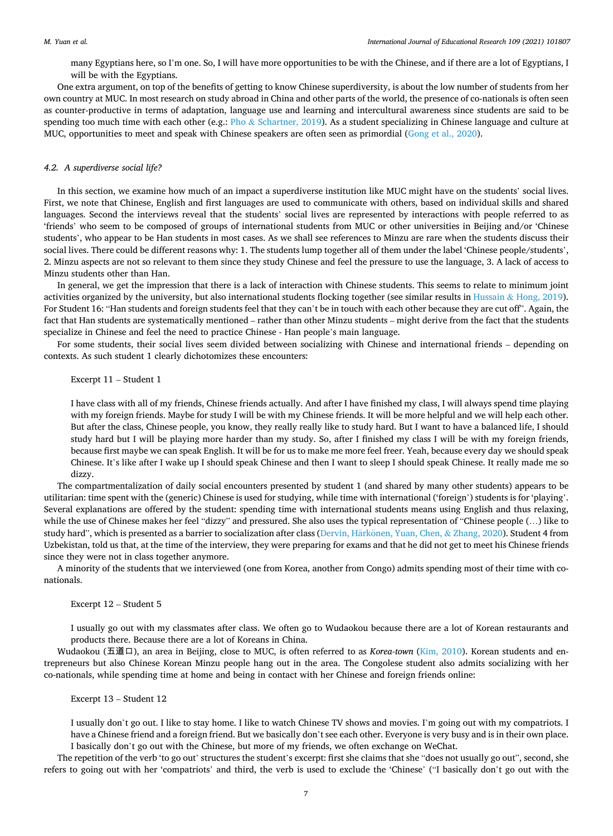many Egyptians here, so I'm one. So, I will have more opportunities to be with the Chinese, and if there are a lot of Egyptians, I will be with the Egyptians.

One extra argument, on top of the benefits of getting to know Chinese superdiversity, is about the low number of students from her own country at MUC. In most research on study abroad in China and other parts of the world, the presence of co-nationals is often seen as counter-productive in terms of adaptation, language use and learning and intercultural awareness since students are said to be spending too much time with each other (e.g.: Pho  $&$  Schartner, 2019). As a student specializing in Chinese language and culture at MUC, opportunities to meet and speak with Chinese speakers are often seen as primordial (Gong et al., 2020).

#### *4.2. A superdiverse social life?*

In this section, we examine how much of an impact a superdiverse institution like MUC might have on the students' social lives. First, we note that Chinese, English and first languages are used to communicate with others, based on individual skills and shared languages. Second the interviews reveal that the students' social lives are represented by interactions with people referred to as 'friends' who seem to be composed of groups of international students from MUC or other universities in Beijing and/or 'Chinese students', who appear to be Han students in most cases. As we shall see references to Minzu are rare when the students discuss their social lives. There could be different reasons why: 1. The students lump together all of them under the label 'Chinese people/students', 2. Minzu aspects are not so relevant to them since they study Chinese and feel the pressure to use the language, 3. A lack of access to Minzu students other than Han.

In general, we get the impression that there is a lack of interaction with Chinese students. This seems to relate to minimum joint activities organized by the university, but also international students flocking together (see similar results in Hussain & Hong, 2019). For Student 16: "Han students and foreign students feel that they can't be in touch with each other because they are cut off". Again, the fact that Han students are systematically mentioned – rather than other Minzu students – might derive from the fact that the students specialize in Chinese and feel the need to practice Chinese - Han people's main language.

For some students, their social lives seem divided between socializing with Chinese and international friends – depending on contexts. As such student 1 clearly dichotomizes these encounters:

# Excerpt 11 – Student 1

I have class with all of my friends, Chinese friends actually. And after I have finished my class, I will always spend time playing with my foreign friends. Maybe for study I will be with my Chinese friends. It will be more helpful and we will help each other. But after the class, Chinese people, you know, they really really like to study hard. But I want to have a balanced life, I should study hard but I will be playing more harder than my study. So, after I finished my class I will be with my foreign friends, because first maybe we can speak English. It will be for us to make me more feel freer. Yeah, because every day we should speak Chinese. It's like after I wake up I should speak Chinese and then I want to sleep I should speak Chinese. It really made me so dizzy.

The compartmentalization of daily social encounters presented by student 1 (and shared by many other students) appears to be utilitarian: time spent with the (generic) Chinese is used for studying, while time with international ('foreign') students is for 'playing'. Several explanations are offered by the student: spending time with international students means using English and thus relaxing, while the use of Chinese makes her feel "dizzy" and pressured. She also uses the typical representation of "Chinese people (…) like to study hard", which is presented as a barrier to socialization after class (Dervin, Härkönen, Yuan, Chen, & Zhang, 2020). Student 4 from Uzbekistan, told us that, at the time of the interview, they were preparing for exams and that he did not get to meet his Chinese friends since they were not in class together anymore.

A minority of the students that we interviewed (one from Korea, another from Congo) admits spending most of their time with conationals.

# Excerpt 12 – Student 5

I usually go out with my classmates after class. We often go to Wudaokou because there are a lot of Korean restaurants and products there. Because there are a lot of Koreans in China.

Wudaokou (五道口), an area in Beijing, close to MUC, is often referred to as *Korea-town* (Kim, 2010). Korean students and entrepreneurs but also Chinese Korean Minzu people hang out in the area. The Congolese student also admits socializing with her co-nationals, while spending time at home and being in contact with her Chinese and foreign friends online:

### Excerpt 13 – Student 12

I usually don't go out. I like to stay home. I like to watch Chinese TV shows and movies. I'm going out with my compatriots. I have a Chinese friend and a foreign friend. But we basically don't see each other. Everyone is very busy and is in their own place. I basically don't go out with the Chinese, but more of my friends, we often exchange on WeChat.

The repetition of the verb 'to go out' structures the student's excerpt: first she claims that she "does not usually go out", second, she refers to going out with her 'compatriots' and third, the verb is used to exclude the 'Chinese' ("I basically don't go out with the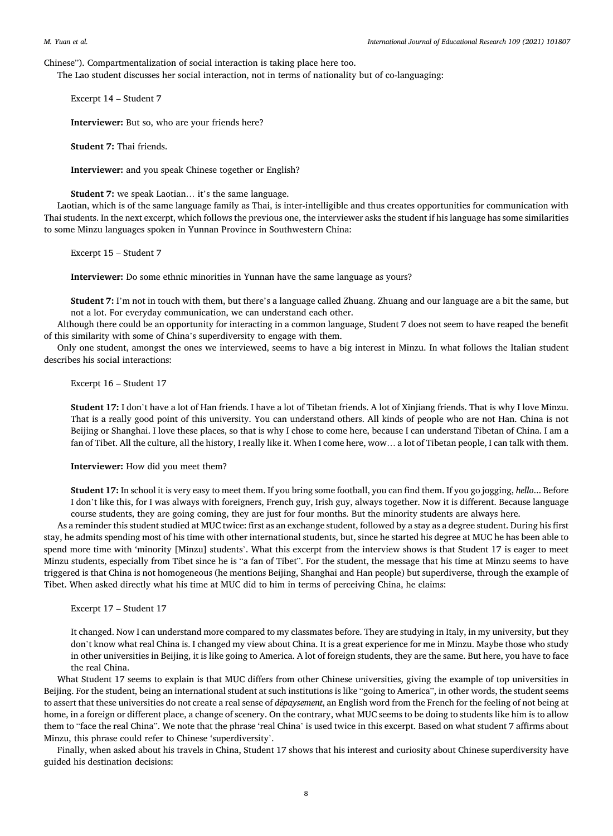Chinese"). Compartmentalization of social interaction is taking place here too.

The Lao student discusses her social interaction, not in terms of nationality but of co-languaging:

Excerpt 14 – Student 7

**Interviewer:** But so, who are your friends here?

**Student 7:** Thai friends.

**Interviewer:** and you speak Chinese together or English?

**Student 7:** we speak Laotian… it's the same language.

Laotian, which is of the same language family as Thai, is inter-intelligible and thus creates opportunities for communication with Thai students. In the next excerpt, which follows the previous one, the interviewer asks the student if his language has some similarities to some Minzu languages spoken in Yunnan Province in Southwestern China:

Excerpt 15 – Student 7

**Interviewer:** Do some ethnic minorities in Yunnan have the same language as yours?

**Student 7:** I'm not in touch with them, but there's a language called Zhuang. Zhuang and our language are a bit the same, but not a lot. For everyday communication, we can understand each other.

Although there could be an opportunity for interacting in a common language, Student 7 does not seem to have reaped the benefit of this similarity with some of China's superdiversity to engage with them.

Only one student, amongst the ones we interviewed, seems to have a big interest in Minzu. In what follows the Italian student describes his social interactions:

Excerpt 16 – Student 17

**Student 17:** I don't have a lot of Han friends. I have a lot of Tibetan friends. A lot of Xinjiang friends. That is why I love Minzu. That is a really good point of this university. You can understand others. All kinds of people who are not Han. China is not Beijing or Shanghai. I love these places, so that is why I chose to come here, because I can understand Tibetan of China. I am a fan of Tibet. All the culture, all the history, I really like it. When I come here, wow… a lot of Tibetan people, I can talk with them.

**Interviewer:** How did you meet them?

**Student 17:** In school it is very easy to meet them. If you bring some football, you can find them. If you go jogging, *hello*... Before I don't like this, for I was always with foreigners, French guy, Irish guy, always together. Now it is different. Because language course students, they are going coming, they are just for four months. But the minority students are always here.

As a reminder this student studied at MUC twice: first as an exchange student, followed by a stay as a degree student. During his first stay, he admits spending most of his time with other international students, but, since he started his degree at MUC he has been able to spend more time with 'minority [Minzu] students'. What this excerpt from the interview shows is that Student 17 is eager to meet Minzu students, especially from Tibet since he is "a fan of Tibet". For the student, the message that his time at Minzu seems to have triggered is that China is not homogeneous (he mentions Beijing, Shanghai and Han people) but superdiverse, through the example of Tibet. When asked directly what his time at MUC did to him in terms of perceiving China, he claims:

Excerpt 17 – Student 17

It changed. Now I can understand more compared to my classmates before. They are studying in Italy, in my university, but they don't know what real China is. I changed my view about China. It is a great experience for me in Minzu. Maybe those who study in other universities in Beijing, it is like going to America. A lot of foreign students, they are the same. But here, you have to face the real China.

What Student 17 seems to explain is that MUC differs from other Chinese universities, giving the example of top universities in Beijing. For the student, being an international student at such institutions is like "going to America", in other words, the student seems to assert that these universities do not create a real sense of *d*´*epaysement*, an English word from the French for the feeling of not being at home, in a foreign or different place, a change of scenery. On the contrary, what MUC seems to be doing to students like him is to allow them to "face the real China". We note that the phrase 'real China' is used twice in this excerpt. Based on what student 7 affirms about Minzu, this phrase could refer to Chinese 'superdiversity'.

Finally, when asked about his travels in China, Student 17 shows that his interest and curiosity about Chinese superdiversity have guided his destination decisions: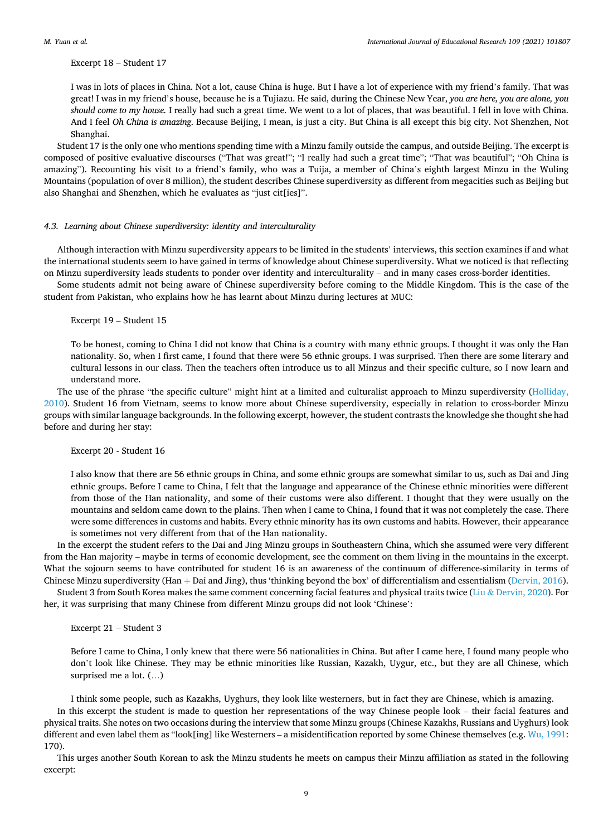Excerpt 18 – Student 17

I was in lots of places in China. Not a lot, cause China is huge. But I have a lot of experience with my friend's family. That was great! I was in my friend's house, because he is a Tujiazu. He said, during the Chinese New Year, *you are here, you are alone, you should come to my house.* I really had such a great time. We went to a lot of places, that was beautiful. I fell in love with China. And I feel *Oh China is amazing*. Because Beijing, I mean, is just a city. But China is all except this big city. Not Shenzhen, Not Shanghai.

Student 17 is the only one who mentions spending time with a Minzu family outside the campus, and outside Beijing. The excerpt is composed of positive evaluative discourses ("That was great!"; "I really had such a great time"; "That was beautiful"; "Oh China is amazing"). Recounting his visit to a friend's family, who was a Tuija, a member of China's eighth largest Minzu in the Wuling Mountains (population of over 8 million), the student describes Chinese superdiversity as different from megacities such as Beijing but also Shanghai and Shenzhen, which he evaluates as "just cit[ies]".

# *4.3. Learning about Chinese superdiversity: identity and interculturality*

Although interaction with Minzu superdiversity appears to be limited in the students' interviews, this section examines if and what the international students seem to have gained in terms of knowledge about Chinese superdiversity. What we noticed is that reflecting on Minzu superdiversity leads students to ponder over identity and interculturality – and in many cases cross-border identities.

Some students admit not being aware of Chinese superdiversity before coming to the Middle Kingdom. This is the case of the student from Pakistan, who explains how he has learnt about Minzu during lectures at MUC:

Excerpt 19 – Student 15

To be honest, coming to China I did not know that China is a country with many ethnic groups. I thought it was only the Han nationality. So, when I first came, I found that there were 56 ethnic groups. I was surprised. Then there are some literary and cultural lessons in our class. Then the teachers often introduce us to all Minzus and their specific culture, so I now learn and understand more.

The use of the phrase "the specific culture" might hint at a limited and culturalist approach to Minzu superdiversity (Holliday, 2010). Student 16 from Vietnam, seems to know more about Chinese superdiversity, especially in relation to cross-border Minzu groups with similar language backgrounds. In the following excerpt, however, the student contrasts the knowledge she thought she had before and during her stay:

Excerpt 20 - Student 16

I also know that there are 56 ethnic groups in China, and some ethnic groups are somewhat similar to us, such as Dai and Jing ethnic groups. Before I came to China, I felt that the language and appearance of the Chinese ethnic minorities were different from those of the Han nationality, and some of their customs were also different. I thought that they were usually on the mountains and seldom came down to the plains. Then when I came to China, I found that it was not completely the case. There were some differences in customs and habits. Every ethnic minority has its own customs and habits. However, their appearance is sometimes not very different from that of the Han nationality.

In the excerpt the student refers to the Dai and Jing Minzu groups in Southeastern China, which she assumed were very different from the Han majority – maybe in terms of economic development, see the comment on them living in the mountains in the excerpt. What the sojourn seems to have contributed for student 16 is an awareness of the continuum of difference-similarity in terms of Chinese Minzu superdiversity (Han + Dai and Jing), thus 'thinking beyond the box' of differentialism and essentialism (Dervin, 2016).

Student 3 from South Korea makes the same comment concerning facial features and physical traits twice (Liu & Dervin, 2020). For her, it was surprising that many Chinese from different Minzu groups did not look 'Chinese':

Excerpt 21 – Student 3

Before I came to China, I only knew that there were 56 nationalities in China. But after I came here, I found many people who don't look like Chinese. They may be ethnic minorities like Russian, Kazakh, Uygur, etc., but they are all Chinese, which surprised me a lot. (…)

I think some people, such as Kazakhs, Uyghurs, they look like westerners, but in fact they are Chinese, which is amazing. In this excerpt the student is made to question her representations of the way Chinese people look – their facial features and physical traits. She notes on two occasions during the interview that some Minzu groups (Chinese Kazakhs, Russians and Uyghurs) look different and even label them as "look[ing] like Westerners – a misidentification reported by some Chinese themselves (e.g. Wu, 1991: 170).

This urges another South Korean to ask the Minzu students he meets on campus their Minzu affiliation as stated in the following excerpt: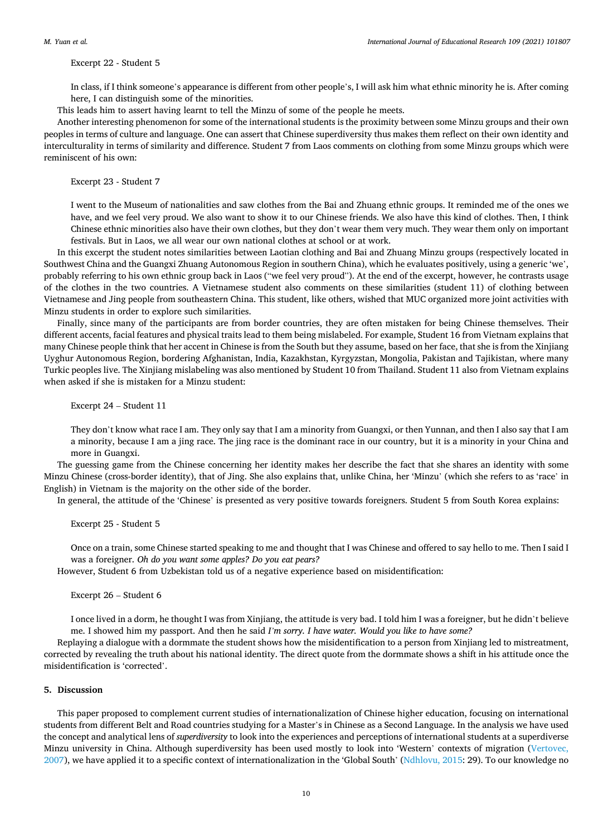Excerpt 22 - Student 5

In class, if I think someone's appearance is different from other people's, I will ask him what ethnic minority he is. After coming here, I can distinguish some of the minorities.

This leads him to assert having learnt to tell the Minzu of some of the people he meets.

Another interesting phenomenon for some of the international students is the proximity between some Minzu groups and their own peoples in terms of culture and language. One can assert that Chinese superdiversity thus makes them reflect on their own identity and interculturality in terms of similarity and difference. Student 7 from Laos comments on clothing from some Minzu groups which were reminiscent of his own:

# Excerpt 23 - Student 7

I went to the Museum of nationalities and saw clothes from the Bai and Zhuang ethnic groups. It reminded me of the ones we have, and we feel very proud. We also want to show it to our Chinese friends. We also have this kind of clothes. Then, I think Chinese ethnic minorities also have their own clothes, but they don't wear them very much. They wear them only on important festivals. But in Laos, we all wear our own national clothes at school or at work.

In this excerpt the student notes similarities between Laotian clothing and Bai and Zhuang Minzu groups (respectively located in Southwest China and the Guangxi Zhuang Autonomous Region in southern China), which he evaluates positively, using a generic 'we', probably referring to his own ethnic group back in Laos ("we feel very proud"). At the end of the excerpt, however, he contrasts usage of the clothes in the two countries. A Vietnamese student also comments on these similarities (student 11) of clothing between Vietnamese and Jing people from southeastern China. This student, like others, wished that MUC organized more joint activities with Minzu students in order to explore such similarities.

Finally, since many of the participants are from border countries, they are often mistaken for being Chinese themselves. Their different accents, facial features and physical traits lead to them being mislabeled. For example, Student 16 from Vietnam explains that many Chinese people think that her accent in Chinese is from the South but they assume, based on her face, that she is from the Xinjiang Uyghur Autonomous Region, bordering Afghanistan, India, Kazakhstan, Kyrgyzstan, Mongolia, Pakistan and Tajikistan, where many Turkic peoples live. The Xinjiang mislabeling was also mentioned by Student 10 from Thailand. Student 11 also from Vietnam explains when asked if she is mistaken for a Minzu student:

Excerpt 24 – Student 11

They don't know what race I am. They only say that I am a minority from Guangxi, or then Yunnan, and then I also say that I am a minority, because I am a jing race. The jing race is the dominant race in our country, but it is a minority in your China and more in Guangxi.

The guessing game from the Chinese concerning her identity makes her describe the fact that she shares an identity with some Minzu Chinese (cross-border identity), that of Jing. She also explains that, unlike China, her 'Minzu' (which she refers to as 'race' in English) in Vietnam is the majority on the other side of the border.

In general, the attitude of the 'Chinese' is presented as very positive towards foreigners. Student 5 from South Korea explains:

Excerpt 25 - Student 5

Once on a train, some Chinese started speaking to me and thought that I was Chinese and offered to say hello to me. Then I said I was a foreigner. *Oh do you want some apples? Do you eat pears?* 

However, Student 6 from Uzbekistan told us of a negative experience based on misidentification:

Excerpt 26 – Student 6

I once lived in a dorm, he thought I was from Xinjiang, the attitude is very bad. I told him I was a foreigner, but he didn't believe me. I showed him my passport. And then he said *I'm sorry. I have water. Would you like to have some?* 

Replaying a dialogue with a dormmate the student shows how the misidentification to a person from Xinjiang led to mistreatment, corrected by revealing the truth about his national identity. The direct quote from the dormmate shows a shift in his attitude once the misidentification is 'corrected'.

# **5. Discussion**

This paper proposed to complement current studies of internationalization of Chinese higher education, focusing on international students from different Belt and Road countries studying for a Master's in Chinese as a Second Language. In the analysis we have used the concept and analytical lens of *superdiversity* to look into the experiences and perceptions of international students at a superdiverse Minzu university in China. Although superdiversity has been used mostly to look into 'Western' contexts of migration (Vertovec, 2007), we have applied it to a specific context of internationalization in the 'Global South' (Ndhlovu, 2015: 29). To our knowledge no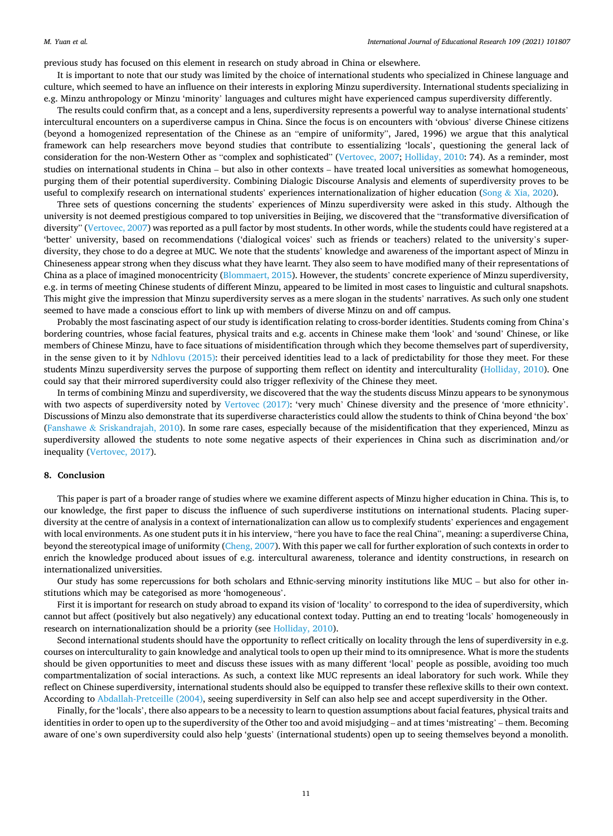previous study has focused on this element in research on study abroad in China or elsewhere.

It is important to note that our study was limited by the choice of international students who specialized in Chinese language and culture, which seemed to have an influence on their interests in exploring Minzu superdiversity. International students specializing in e.g. Minzu anthropology or Minzu 'minority' languages and cultures might have experienced campus superdiversity differently.

The results could confirm that, as a concept and a lens, superdiversity represents a powerful way to analyse international students' intercultural encounters on a superdiverse campus in China. Since the focus is on encounters with 'obvious' diverse Chinese citizens (beyond a homogenized representation of the Chinese as an "empire of uniformity", Jared, 1996) we argue that this analytical framework can help researchers move beyond studies that contribute to essentializing 'locals', questioning the general lack of consideration for the non-Western Other as "complex and sophisticated" (Vertovec, 2007; Holliday, 2010: 74). As a reminder, most studies on international students in China – but also in other contexts – have treated local universities as somewhat homogeneous, purging them of their potential superdiversity. Combining Dialogic Discourse Analysis and elements of superdiversity proves to be useful to complexify research on international students' experiences internationalization of higher education (Song & Xia, 2020).

Three sets of questions concerning the students' experiences of Minzu superdiversity were asked in this study. Although the university is not deemed prestigious compared to top universities in Beijing, we discovered that the "transformative diversification of diversity" (Vertovec, 2007) was reported as a pull factor by most students. In other words, while the students could have registered at a 'better' university, based on recommendations ('dialogical voices' such as friends or teachers) related to the university's superdiversity, they chose to do a degree at MUC. We note that the students' knowledge and awareness of the important aspect of Minzu in Chineseness appear strong when they discuss what they have learnt. They also seem to have modified many of their representations of China as a place of imagined monocentricity (Blommaert, 2015). However, the students' concrete experience of Minzu superdiversity, e.g. in terms of meeting Chinese students of different Minzu, appeared to be limited in most cases to linguistic and cultural snapshots. This might give the impression that Minzu superdiversity serves as a mere slogan in the students' narratives. As such only one student seemed to have made a conscious effort to link up with members of diverse Minzu on and off campus.

Probably the most fascinating aspect of our study is identification relating to cross-border identities. Students coming from China's bordering countries, whose facial features, physical traits and e.g. accents in Chinese make them 'look' and 'sound' Chinese, or like members of Chinese Minzu, have to face situations of misidentification through which they become themselves part of superdiversity, in the sense given to it by Ndhlovu (2015): their perceived identities lead to a lack of predictability for those they meet. For these students Minzu superdiversity serves the purpose of supporting them reflect on identity and interculturality (Holliday, 2010). One could say that their mirrored superdiversity could also trigger reflexivity of the Chinese they meet.

In terms of combining Minzu and superdiversity, we discovered that the way the students discuss Minzu appears to be synonymous with two aspects of superdiversity noted by Vertovec (2017): 'very much' Chinese diversity and the presence of 'more ethnicity'. Discussions of Minzu also demonstrate that its superdiverse characteristics could allow the students to think of China beyond 'the box' (Fanshawe & Sriskandrajah, 2010). In some rare cases, especially because of the misidentification that they experienced, Minzu as superdiversity allowed the students to note some negative aspects of their experiences in China such as discrimination and/or inequality (Vertovec, 2017).

#### **8. Conclusion**

This paper is part of a broader range of studies where we examine different aspects of Minzu higher education in China. This is, to our knowledge, the first paper to discuss the influence of such superdiverse institutions on international students. Placing superdiversity at the centre of analysis in a context of internationalization can allow us to complexify students' experiences and engagement with local environments. As one student puts it in his interview, "here you have to face the real China", meaning: a superdiverse China, beyond the stereotypical image of uniformity (Cheng, 2007). With this paper we call for further exploration of such contexts in order to enrich the knowledge produced about issues of e.g. intercultural awareness, tolerance and identity constructions, in research on internationalized universities.

Our study has some repercussions for both scholars and Ethnic-serving minority institutions like MUC – but also for other institutions which may be categorised as more 'homogeneous'.

First it is important for research on study abroad to expand its vision of 'locality' to correspond to the idea of superdiversity, which cannot but affect (positively but also negatively) any educational context today. Putting an end to treating 'locals' homogeneously in research on internationalization should be a priority (see Holliday, 2010).

Second international students should have the opportunity to reflect critically on locality through the lens of superdiversity in e.g. courses on interculturality to gain knowledge and analytical tools to open up their mind to its omnipresence. What is more the students should be given opportunities to meet and discuss these issues with as many different 'local' people as possible, avoiding too much compartmentalization of social interactions. As such, a context like MUC represents an ideal laboratory for such work. While they reflect on Chinese superdiversity, international students should also be equipped to transfer these reflexive skills to their own context. According to Abdallah-Pretceille (2004), seeing superdiversity in Self can also help see and accept superdiversity in the Other.

Finally, for the 'locals', there also appears to be a necessity to learn to question assumptions about facial features, physical traits and identities in order to open up to the superdiversity of the Other too and avoid misjudging – and at times 'mistreating' – them. Becoming aware of one's own superdiversity could also help 'guests' (international students) open up to seeing themselves beyond a monolith.